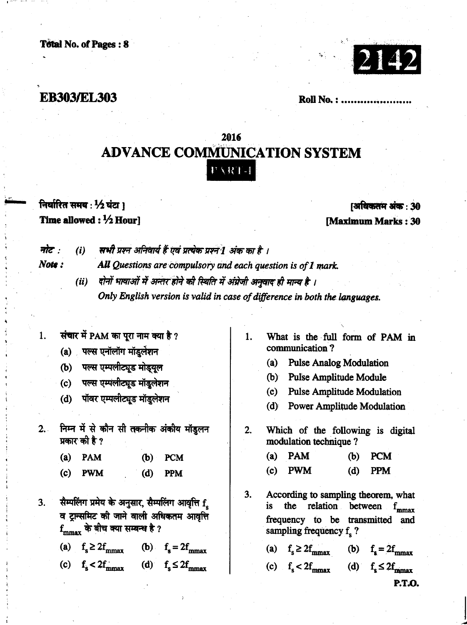## **EB303/EL303**

**Roll No.: ............** 

# 2016 **ADVANCE COMMUNICATION SYSTEM** PART-I

## निर्धारित समय: 1/2 घंटा) Time allowed :  $\frac{1}{2}$  Hourl

## [अधिकतम अंक: 30 **Maximum Marks: 30**

#### नोट : Note :

सभी प्रश्न अनिवार्य हैं एवं प्रत्येक प्रश्न 1 अंक का है ।  $(i)$ All Questions are compulsory and each question is of 1 mark.

- दोनों भाषाओं में अन्तर होने की स्थिति में अंग्रेजी अनुवाद ही मान्य है ।  $(ii)$ Only English version is valid in case of difference in both the languages.
- संचार में PAM का पूरा नाम क्या है ?  $1.$ 
	- (a) पल्स एनॉलॉग मॉडुलेशन
	- (b) पल्स एम्पलीट्यूड मोड्यूल
	- (c) पल्स एम्पलीट्यूड मॉडुलेशन
	- (d) पॉवर एम्पलीट्यूड मॉडलेशन
- निम्न में से कौन सी तकनीक अंकीय मॉडुलन  $2.1$ प्रकार की है ?
	- $(a)$  PAM  $(b)$ **PCM**
	- $(c)$  PWM  $(d)$ **PPM**
- सैम्पलिंग प्रमेय के अनुसार, सैम्पलिंग आवृत्ति f.  $3.$ व ट्रान्समिट की जाने वाली अधिकतम आवृत्ति  $f_{\rm max}$  के बीच क्या सम्बन्ध है ?

(a)  $f_e \ge 2f_{\text{mmax}}$  (b)  $f_e = 2f_{\text{mmax}}$ 

(c)  $f_s < 2f_{\text{max}}$  (d)  $f_s \le 2f_{\text{max}}$ 

- $1<sub>1</sub>$ What is the full form of PAM in communication?
	- (a) Pulse Analog Modulation
	- (b) Pulse Amplitude Module
	- (c) Pulse Amplitude Modulation
	- (d) Power Amplitude Modulation
- $2.$ Which of the following is digital modulation technique?
	- $(a)$  PAM **PCM**  $(b)$  $(c)$ **PWM**  $(d)$ **PPM**
- 3. According to sampling theorem, what the relation between  $f_{\text{mnax}}$ is frequency to be transmitted and sampling frequency  $f_{s}$  ?
	- (a)  $f_s \ge 2f_{\text{mmax}}$  (b)  $f_s = 2f_{\text{mmax}}$
	- (c)  $f_s < 2f_{\text{mmax}}$  (d)  $f_s \le 2f_{\text{mmax}}$

P.T.O.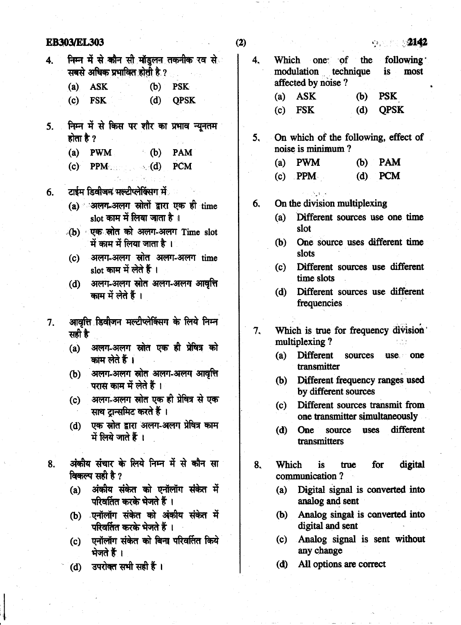|    | <b>EB303/EL303</b>                                                                                                        | (2) | 2142<br>$\mathbf{S} \cdot \mathbf{S} = \mathbb{R}^{n \times n}$                        |  |  |
|----|---------------------------------------------------------------------------------------------------------------------------|-----|----------------------------------------------------------------------------------------|--|--|
| 4. | निम्न में से कौन सी मॉडुलन तकनीक रव से <b>ं</b><br>सबसे अधिक प्रभावित होती है ?<br><b>PSK</b><br><b>ASK</b><br>(b)<br>(a) | 4.  | Which one of the following<br>modulation technique<br>is<br>most<br>affected by noise? |  |  |
|    | <b>FSK</b><br>(d)<br><b>QPSK</b><br>(c)                                                                                   |     | <b>PSK</b><br><b>ASK</b><br>(b)<br>(a)                                                 |  |  |
|    |                                                                                                                           |     | <b>QPSK</b><br><b>FSK</b><br>(d)<br>(c)                                                |  |  |
| 5. | निम्न में से किस पर शौर का प्रभाव न्यूनतम                                                                                 |     |                                                                                        |  |  |
|    | होता है ?                                                                                                                 | 5,  | On which of the following, effect of<br>noise is minimum?                              |  |  |
|    | (a)<br>(b)<br><b>PWM</b><br><b>PAM</b><br><b>PCM</b><br><b>PPM</b>                                                        |     | $(a)$ PWM<br><b>PAM</b><br>(b)                                                         |  |  |
|    | (c)<br>$\sim$ (d)                                                                                                         |     | <b>PCM</b><br>$(c)$ PPM<br>(d)                                                         |  |  |
| 6. | टाईम डिवीजन मल्टीप्लेक्सिंग में                                                                                           |     |                                                                                        |  |  |
|    | (a) अलग-अलग स्रोतों द्वारा एक ही time                                                                                     | 6.  | On the division multiplexing                                                           |  |  |
|    | slot काम में लिया जाता है ।                                                                                               |     | Different sources use one time<br>(a)                                                  |  |  |
|    | (b) एक स्रोत को अलग-अलग Time slot                                                                                         |     | slot                                                                                   |  |  |
|    | में काम में लिया जाता है।<br>अलग-अलग स्रोत अलग-अलग time                                                                   |     | One source uses different time<br>(b)<br>slots                                         |  |  |
|    | (c)<br>slot काम में लेते हैं ।                                                                                            |     | Different sources use different<br>(c)<br>time slots                                   |  |  |
|    | अलग-अलग स्रोत अलग-अलग आवृत्ति<br>(d)<br>काम में लेते हैं ।                                                                |     | Different sources use different<br>(d)<br>frequencies                                  |  |  |
| 7. | आवृत्ति डिवीजन मल्टीप्लेक्सिंग के लिये निम्न<br>सही है                                                                    | 7.  | Which is true for frequency division<br>multiplexing?                                  |  |  |
|    | अलग-अलग स्रोत एक ही प्रेषित्र को<br>(a)<br>काम लेते हैं ।                                                                 |     | <b>Different</b><br>(a)<br>sources<br>use one<br>transmitter                           |  |  |
|    | अलग-अलग स्रोत अलग-अलग आवृत्ति<br>(b)<br>परास काम में लेते हैं ।                                                           |     | Different frequency ranges used<br>(b)<br>by different sources                         |  |  |
|    | अलग-अलग स्रोत एक ही प्रेषित्र से एक<br>(c)<br>साथ ट्रान्समिट करते हैं ।                                                   |     | (c)<br>Different sources transmit from<br>one transmitter simultaneously               |  |  |
|    | एक स्रोत द्वारा अलग-अलग प्रेषित्र काम<br>(d)<br>में लिये जाते हैं ।                                                       |     | different<br>(d)<br><b>One</b><br>source<br>uses<br>transmitters                       |  |  |
| 8. | अंकीय संचार के लिये निम्न में से कौन सा<br>विकल्प सही है ?                                                                | 8.  | Which<br>digital<br><i>is</i><br>for<br>true<br>communication?                         |  |  |
|    | अंकीय संकेत को एनॉलॉग संकेत में<br>(a)<br>परिवर्तित करके भेजते हैं ।                                                      |     | Digital signal is converted into<br>(a)<br>analog and sent                             |  |  |
|    | एनॉलॉग संकेत को अंकीय संकेत में<br>(b)<br>परिवर्तित करके भेजते हैं ।                                                      |     | Analog singal is converted into<br>(b)<br>digital and sent                             |  |  |
|    | एनॉलॉग संकेत को बिना परिवर्तित किये<br>(c)<br>भेजते हैं ।                                                                 |     | Analog signal is sent without<br>(c)<br>any change                                     |  |  |
|    | उपरोक्त सभी सही हैं ।<br>(d)                                                                                              |     | All options are correct<br>(d)                                                         |  |  |

**ED202/ET 202**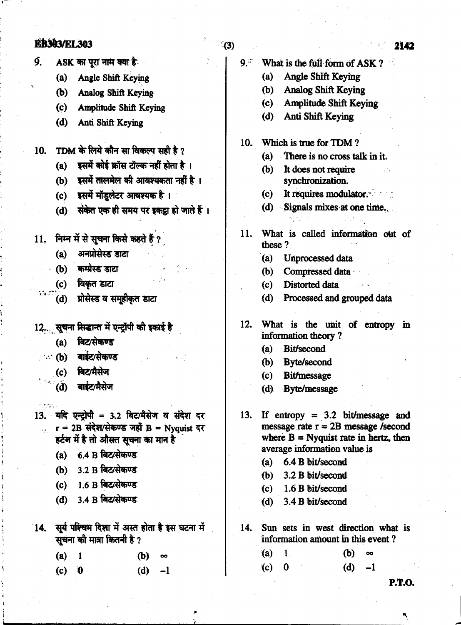#### **ER303/EL303**

- $\mathbf{Q}$ ASK का पूरा नाम क्या है
	- $(a)$ Angle Shift Keying
	- (b) Analog Shift Keying
	- $(c)$ Amplitude Shift Keving
	- $(d)$ Anti Shift Keying
- TDM के लिये कौन सा विकल्प सही है ?  $10<sub>l</sub>$ 
	- डसमें कोई क्रॉस टॉल्क नहीं होता है ।  $(a)$
	- डसमें तालमेल की आवश्यकता नहीं है ।  $(b)$
	- (c) इसमें मॉडुलेटर आवश्यक है।
	- (d) संकेत एक ही समय पर इकड़ा हो जाते हैं।
- 11. निम्न में से सूचना किसे कहते हैं
	- अनप्रोसेस्ड डाटा  $(a)$
	- · (b) कम्प्रेस्ड डाटा
	- (c) विकृत डाटा

 $\mathcal{L} \subset \mathcal{L}$ 

i trisk

- प्रोसेस्ड व समूहीकृत डाटा  $(d)$
- 12. सूचना सिद्धान्त में एन्ट्रॉपी की इकाई है
	- (a) बिट/सेकण्ड
- ... (b) बार्डट/सेकण्ड
	- (c) बिट/मैसेज
- $\bigcirc$  (d) बाईट/मैसेज
- 13. यदि एन्टोपी = 3.2 बिट/मैसेज व संदेश दर  $r = 2B$  संदेश/सेकण्ड जहाँ B = Nyquist दर हर्टज में है तो औसत सचना का मान है
	- (a) 6.4 B बिट/सेकण्ड
	- (b) 3.2 B बिट/सेकण्ड
	- (c)  $1.6 B$  बिट/सेकण्ड
	- $(d)$  3.4 B बिट/सेकण्ड
- 14. सूर्य परिचम दिशा में अस्त होता है इस घटना में संचना को मात्रा कितनी है ?
	- $(a)$  $\mathbf{1}$ (b)  $\infty$  $(d)$  $-1$  $(c)$  $\mathbf{0}$
- $\mathbf{Q}^{(j)}$  . What is the full form of ASK? **Angle Shift Keving**  $(a)$ (b) Analog Shift Keying Amplitude Shift Keving  $(c)$ Anti Shift Keying  $(d)$  $10<sub>1</sub>$ Which is true for TDM?  $(a)$ There is no cross talk in it.  $(b)$ It does not require synchronization. It requires modulator.  $(c)$ (d) Signals mixes at one time. What is called information out of  $11.$ these ? (a) Unprocessed data  $(b)$ Compressed data  $(c)$ Distorted data Processed and grouped data  $(d)$  $12.$ What is the unit of entropy in information theory? **Bit/second**  $(a)$ **Byte/second (b)**  $(c)$ **Bit/message Byte/message**  $(d)$  $13.$ If entropy =  $3.2$  bit/message and message rate  $r = 2B$  message /second where  $B = Nyquist$  rate in hertz, then average information value is
	- 6.4 B bit/second  $(a)$
	- 3.2 B bit/second (b)
	- $(c)$ 1.6 B bit/second
	- 3.4 B bit/second  $(d)$
	- Sun sets in west direction what is  $14.$ information amount in this event?
		- $(a)$  $\mathbf i$ (b) ൟ  $(c)$  $(d)$  $-1$  $\bf{0}$

**P.T.O.** 

### $(3)$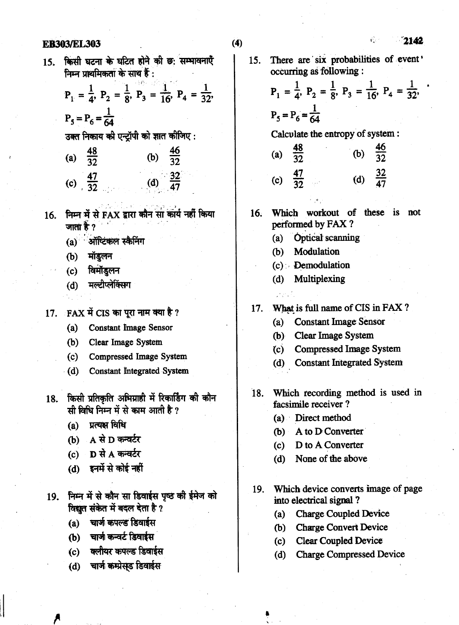#### **EB303/EL303**

2142

έŠ,

किसी घटना के घटित होने की छ: सम्भावनाएँ  $15<sub>1</sub>$ निम्न प्राथमिकता के साथ हैं :

$$
P_1 = \frac{1}{4}
$$
,  $P_2 = \frac{1}{8}$ ,  $P_3 = \frac{1}{16}$ ,  $P_4 = \frac{1}{32}$ ,  
 $P_5 = P_6 = \frac{1}{64}$ 

उक्त निकाय की एन्ट्रॉपी को ज्ञात कीजिए :

| (a) | $\frac{48}{32}$     | (b) | $\frac{46}{32}$     |
|-----|---------------------|-----|---------------------|
|     | (c) $\frac{47}{32}$ |     | (d) $\frac{32}{47}$ |

- निम्न में से FAX द्वारा कौन सा कार्य नहीं किया  $16<sub>1</sub>$ जाता है $\gamma$ 
	- $(a)$  ऑप्टिकल स्कैनिंग
	- मॉडलन  $(b)$
	- विमॉडुलन  $(c)$
	- मल्टीप्लेक्सिंग  $(d)$
	-
- 17. FAX में CIS का पूरा नाम क्या है ?
	- **Constant Image Sensor**  $(a)$
	- (b) Clear Image System
	- $(c)$ Compressed Image System
	- **Constant Integrated System**  $(d)$
- किसी प्रतिकृति अभिग्राही में रिकार्डिंग की कौन 18. सी विधि निम्न में से काम आती है ?
	- (a) प्रत्यक्ष विधि
	- $(b)$  A से D कन्वर्टर
	- (c)  $\mathbf D$  से A कन्वर्टर
	- (d) इनमें से कोई नहीं
- 19. निम्न में से कौन सा डिवाईस पृष्ठ की ईमेज को विद्युत संकेत में बदल देता है ?
	- $(a)$ चार्ज कपल्ड डिवाईस
	- (b) चार्जा कन्वर्ट डिवाईस
	- (c) क्लीयर कपल्ड डिवार्डस
	- चार्ज कम्प्रेस्ड डिवाईस  $(d)$

There are six probabilities of event' 15. occurring as following :

> $P_1 = \frac{1}{4}$ ,  $P_2 = \frac{1}{8}$ ,  $P_3 = \frac{1}{16}$ ,  $P_4 = \frac{1}{32}$ ,  $P_5 = \frac{1}{16}$  $P_5 = P_6 = \frac{1}{64}$

Calculate the entropy of system :

- $\frac{48}{32}$  $(b)$  $(a)$ (d)  $\frac{32}{47}$ (c)  $\frac{47}{32}$
- Which workout of these is not  $16.$ performed by FAX?
	- **Optical scanning**  $(a)$
	- Modulation (b)
	- $(c)$  Demodulation
	- (d) Multiplexing
- What is full name of CIS in FAX?  $17.$ 
	- **Constant Image Sensor**  $(a)$
	- (b) Clear Image System
	- **Compressed Image System**  $(c)$
	- (d) Constant Integrated System
- Which recording method is used in  $\overline{18}$ . facsimile receiver?
	- (a) Direct method
	- (b) A to D Converter
	- D to A Converter  $(c)$
	- $(d)$ None of the above
- Which device converts image of page 19. into electrical signal?
	- **Charge Coupled Device**  $(a)$
	- **Charge Convert Device** (b)
	- **Clear Coupled Device**  $(c)$
	- $(d)$ **Charge Compressed Device**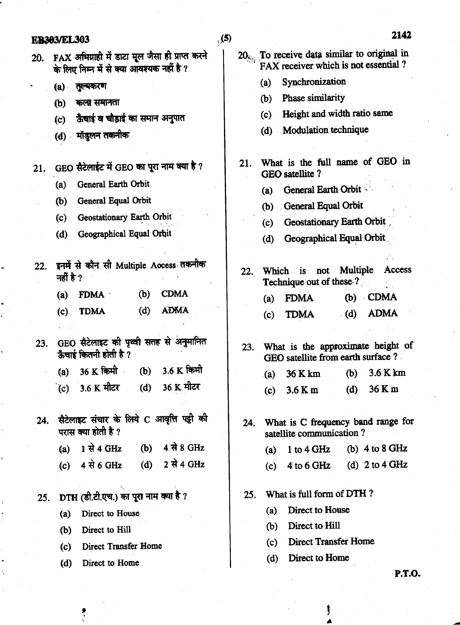#### $(5)$ **ER303/EL303**  $20<sub>Si</sub>$ . To receive data similar to original in 20. FAX अभिग्राही में डाटा मूल जैसा ही प्राप्त करने FAX receiver which is not essential? के लिए निम्न में से क्या आवश्यक नहीं है ? Synchronization  $(a)$ (a) तूल्यकरण Phase similarity  $(b)$ कला समानता  $(b)$ Height and width ratio same  $(c)$ ऊँचाई व चौड़ाई का समान अनुपात  $(c)$ Modulation technique  $(d)$ (d) मॉडलन तकनीक What is the full name of GEO in  $21.$ GEO सैटेलाईट में GEO का पूरा नाम क्या है ?  $21.$  $GFO$  satellite  $?$ General Earth Orbit  $(a)$ **General Earth Orbit**  $(a)$ General Equal Orbit  $(b)$ (b) General Equal Orbit Geostationary Earth Orbit  $(c)$ **Geostationary Earth Orbit**  $(c)$ Geographical Equal Orbit  $(d)$ Geographical Equal Orbit  $(d)$ 22. इनमें से कौन सी Multiple Access तकनीक Access Multiple  $22.$ Which is not नहीं है ? Technique out of these ? **CDMA**  $(a)$  FDMA  $\cdot$  $(b)$  $(b)$  CDMA **FDMA**  $(a)$ **ADMA**  $(d)$  $(c)$ **TDMA ADMA**  $(d)$  $(c)$ **TDMA** 23. GEO सैटेलाइट की पृथ्वी सतह से अनुमानित What is the approximate height of  $23.$ ऊँचाई कितनी होती है ? GEO satellite from earth surface ? 3.6 K किमी 36 K किमी  $(b)$  $(a)$ 3.6 K km 36 K km  $(b)$  $(a)$ 36 K मीटर 1.6 K मीटर  $(d)$  $(c)$ 36 K m  $(d)$  $3.6$  K m  $(c)$ सैटेलाइट संचार के लिये C आवृत्ति पट्टी की  $24.$ What is C frequency band range for  $24$ परास क्या होती है ? satellite communication? <u>। से 4 GHz</u> 4 से 8 GHz  $(b)$  $(a)$ 1 to 4 GHz (b)  $4$  to  $8$  GHz  $(a)$  $4$  से 6 GHz  $(d)$ 2 से 4 GHz  $(c)$ 4 to 6 GHz (d)  $2$  to  $4$  GHz  $(c)$ What is full form of DTH? DTH (डी.टी.एच.) का पूरा नाम क्या है ?  $25.$  $25.$ Direct to House  $(a)$ Direct to House  $(a)$ Direct to Hill  $(b)$ Direct to Hill  $(b)$ **Direct Transfer Home**  $(c)$ **Direct Transfer Home**

 $(c)$ 

 $(d)$ 

Direct to Home

Direct to Home  $(d)$ 

**P.T.O.** 

2142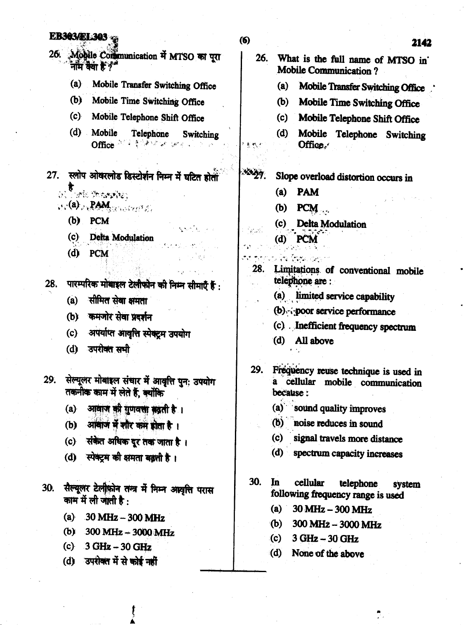#### **EB303/EL303**

26. Mobile Communication में MTSO का पूरा नाम कैया हैं  $\gamma^*$ 

- Mobile Transfer Switching Office  $(a)$
- (b) Mobile Time Switching Office
- (c) Mobile Telephone Shift Office
- (d) Mobile Telephone Switching  $\mathrm{Offce}^{\mathrm{int}}$  is the set of  $\mathbb{R}^n$
- 27. स्लोप ओवरलोड डिस्टोर्शन निम्न में घटित होती
	- া**য়**<br>১৯১৯ জনকৰ্মাণ্ড
	- (a) PAM control
		- $(b)$  PCM
		- Delta Modulation  $(c)$
		- $(d)$  PCM
- पारम्परिक मोबाइल टेलीफोन की निम्न सीमाएँ हैं :  $28.$ 
	- सीमित सेवा क्षमता  $(a)$
	- (b) कमजोर सेवा प्रदर्शन
	- अपर्याप्त आवृत्ति स्पेक्टम उपयोग  $(c)$
	- (d) उपरोक्त सभी

सेल्यूलर मोबाइल संचार में आवृत्ति पुन: उपयोग  $29.$ तकनीक काम में लेते हैं, क्योंकि

- (a) आवाज की गुणवत्ता बढ़ती है।
- आवाज में शौर कम होता है।  $(b)$
- संकेत अधिक दूर तक जाता है।  $(c)$
- (d) स्पेक्ट्रम की क्षमता बढ़ती है।
- सैल्यूलर टेलीफ़ोन तन्त्र में निम्न अस्वृत्ति परास  $30.$ काम में ली जाती है $\cdot$ 
	- (a)  $30 \text{ MHz} 300 \text{ MHz}$
	- $300$  MHz  $-3000$  MHz  $(b)$
	- $3 GHz 30 GHz$  $(c)$
	- (d) उपरोक्त में से कोई नहीं

**SA** 

ได้เลข

- 26. What is the full name of MTSO in' **Mobile Communication?** 
	- Mobile Transfer Switching Office  $(a)$
	- $(b)$ Mobile Time Switching Office
	- Mobile Telephone Shift Office  $(c)$
	- Mobile Telephone Switching (d) Office.

#### $x_{27}$ Slope overload distortion occurs in

- $(a)$ **PAM**
- PCM (b)
- (c) Delta Modulation
- $(d)$  PCM
- Limitations of conventional mobile 28. telephone are :
	- (a) limited service capability
	- (b) poor service performance
	- (c) Inefficient frequency spectrum
	- (d) All above

Frequency reuse technique is used in **29.** a cellular mobile communication because:

- (a) sound quality improves
- (ዕ) | noise reduces in sound
- (c) signal travels more distance
- $(d)$ spectrum capacity increases
- $30.$ In cellular telephone system following frequency range is used
	- $(a)$ 30 MHz - 300 MHz
	- $(b)$  $300 \text{ MHz} - 3000 \text{ MHz}$
	- $(c)$ 3 GHz - 30 GHz
	- $(d)$ None of the above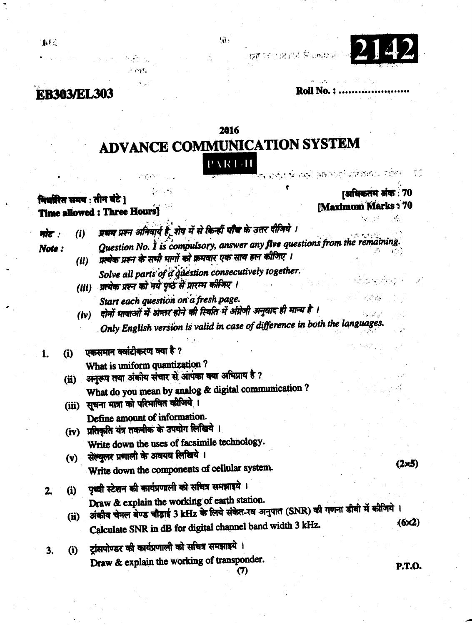

 $\frac{1}{2}$  ,  $\frac{1}{2}$ 

**EB303/EL303** 

 $\mathcal{O}(\mathcal{C}_{\mathbf{L}})$ 

**Roll No.: ............** 

## 2016

 $\langle \hat{\mathbf{e}} \rangle$ 

**OF** OF 1989

## ADVANCE COMMUNICATION SYSTEM PART-II के स्वयं संबंधको इकिन्नार रहेक

|       |       | $\mathcal{L} \times \mathcal{A} \times \mathcal{L}$<br>गिर्वारित समय : तीन घंटे ]<br><b>Time allowed: Three Hours]</b>                   | [अधिकतम अंक: 70<br><b>Maximum Marks: 70</b> |  |  |
|-------|-------|------------------------------------------------------------------------------------------------------------------------------------------|---------------------------------------------|--|--|
| मोट : | (i)   | प्रथम प्रश्न अनिवार्य है, शेष में से किन्हीं पौंच के उत्तर दीजिये ।                                                                      |                                             |  |  |
| Note: | (ii)  | Question No. 1 is compulsory, answer any five questions from the remaining.<br>प्रस्थेक प्रश्न के सभी भागों को क्रमवार एक साथ हल कीजिए । |                                             |  |  |
|       | (iii) | Solve all parts of a question consecutively together.<br>प्रत्येक प्रश्न को नये पृष्ठ से प्रारम्भ कीजिए ।                                |                                             |  |  |
|       | (iv)  | Start each question on a fresh page.<br>दोनों भाषाओं में अन्तर होने की स्थिति में अंग्रेजी अनुवाद ही मान्य है ।                          |                                             |  |  |
|       |       | Only English version is valid in case of difference in both the languages.                                                               |                                             |  |  |
| 1.    | (i)   | एकसमान क्वांटीकरण क्या है ?                                                                                                              |                                             |  |  |
|       | (ii)  | What is uniform quantization?<br>अनुरूप तथा अंकीय संचार से आपका क्या अभिप्राय है ?                                                       |                                             |  |  |
|       | (iii) | What do you mean by analog & digital communication?<br>सूचना मात्रा को परिभाषित कौजिये ।                                                 |                                             |  |  |
|       | (iv)  | Define amount of information.<br>प्रतिकृति यंत्र तकनीक के उपयोग लिखिये ।                                                                 |                                             |  |  |
|       | (v)   | Write down the uses of facsimile technology.<br>सेल्युलर प्रणाली के अवयव लिखिये ।                                                        |                                             |  |  |
|       |       | Write down the components of cellular system.                                                                                            | $(2 \times 5)$                              |  |  |
| 2.    | (i)   | पृथ्वी स्टेशन की कार्यप्रणाली को सचित्र समझाइये ।                                                                                        |                                             |  |  |
|       | (ii)  | Draw & explain the working of earth station.<br>अंकीय चेनल बेण्ड चौड़ाई 3 kHz के लिये संकेत-रव अनुपात (SNR) की गणना डीबी में कीजिये ।    |                                             |  |  |
|       |       | Calculate SNR in dB for digital channel band width 3 kHz.                                                                                | (6x2)                                       |  |  |
| 3.    | (i)   | ट्रांसपोण्डर की कार्यप्रणाली को सचित्र समझाइये ।                                                                                         |                                             |  |  |
|       |       | Draw & explain the working of transponder.<br>(7)                                                                                        | P.T.O.                                      |  |  |